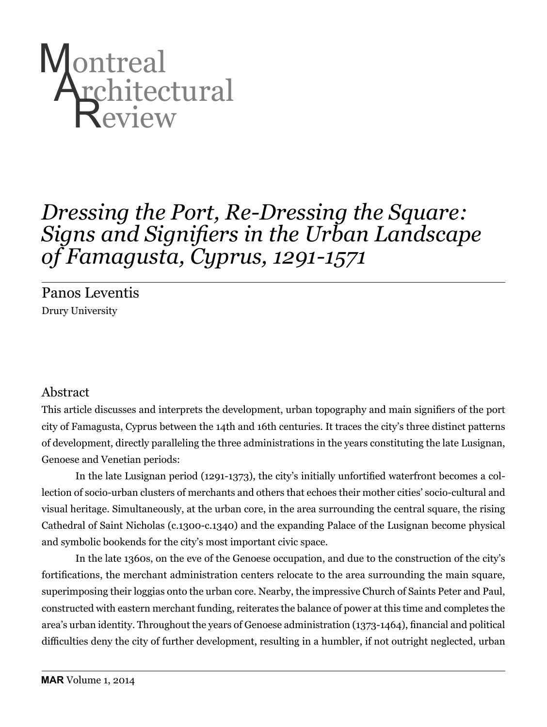

# *Dressing the Port, Re-Dressing the Square: Signs and Signifiers in the Urban Landscape of Famagusta, Cyprus, 1291-1571*

Panos Leventis Drury University

## Abstract

This article discusses and interprets the development, urban topography and main signifiers of the port city of Famagusta, Cyprus between the 14th and 16th centuries. It traces the city's three distinct patterns of development, directly paralleling the three administrations in the years constituting the late Lusignan, Genoese and Venetian periods:

In the late Lusignan period (1291-1373), the city's initially unfortified waterfront becomes a collection of socio-urban clusters of merchants and others that echoes their mother cities' socio-cultural and visual heritage. Simultaneously, at the urban core, in the area surrounding the central square, the rising Cathedral of Saint Nicholas (c.1300-c.1340) and the expanding Palace of the Lusignan become physical and symbolic bookends for the city's most important civic space.

In the late 1360s, on the eve of the Genoese occupation, and due to the construction of the city's fortifications, the merchant administration centers relocate to the area surrounding the main square, superimposing their loggias onto the urban core. Nearby, the impressive Church of Saints Peter and Paul, constructed with eastern merchant funding, reiterates the balance of power at this time and completes the area's urban identity. Throughout the years of Genoese administration (1373-1464), financial and political difficulties deny the city of further development, resulting in a humbler, if not outright neglected, urban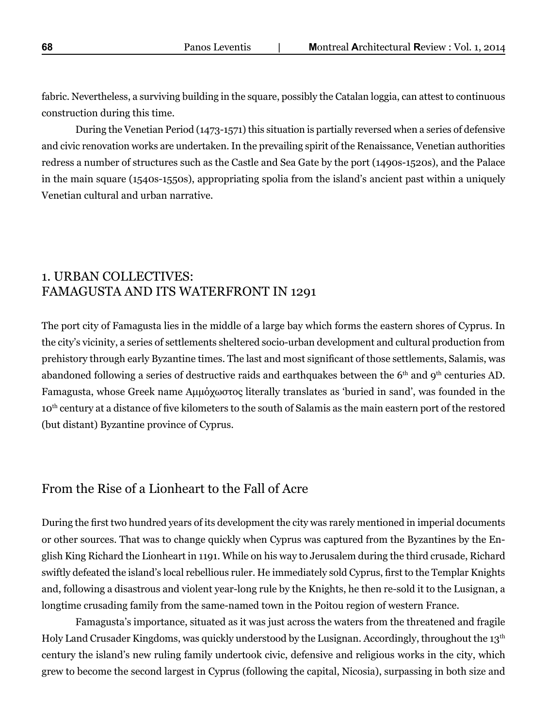fabric. Nevertheless, a surviving building in the square, possibly the Catalan loggia, can attest to continuous construction during this time.

During the Venetian Period (1473-1571) this situation is partially reversed when a series of defensive and civic renovation works are undertaken. In the prevailing spirit of the Renaissance, Venetian authorities redress a number of structures such as the Castle and Sea Gate by the port (1490s-1520s), and the Palace in the main square (1540s-1550s), appropriating spolia from the island's ancient past within a uniquely Venetian cultural and urban narrative.

## 1. URBAN COLLECTIVES: FAMAGUSTA AND ITS WATERFRONT IN 1291

The port city of Famagusta lies in the middle of a large bay which forms the eastern shores of Cyprus. In the city's vicinity, a series of settlements sheltered socio-urban development and cultural production from prehistory through early Byzantine times. The last and most significant of those settlements, Salamis, was abandoned following a series of destructive raids and earthquakes between the 6<sup>th</sup> and 9<sup>th</sup> centuries AD. Famagusta, whose Greek name Αμμόχωστος literally translates as 'buried in sand', was founded in the 10<sup>th</sup> century at a distance of five kilometers to the south of Salamis as the main eastern port of the restored (but distant) Byzantine province of Cyprus.

# From the Rise of a Lionheart to the Fall of Acre

During the first two hundred years of its development the city was rarely mentioned in imperial documents or other sources. That was to change quickly when Cyprus was captured from the Byzantines by the English King Richard the Lionheart in 1191. While on his way to Jerusalem during the third crusade, Richard swiftly defeated the island's local rebellious ruler. He immediately sold Cyprus, first to the Templar Knights and, following a disastrous and violent year-long rule by the Knights, he then re-sold it to the Lusignan, a longtime crusading family from the same-named town in the Poitou region of western France.

Famagusta's importance, situated as it was just across the waters from the threatened and fragile Holy Land Crusader Kingdoms, was quickly understood by the Lusignan. Accordingly, throughout the 13<sup>th</sup> century the island's new ruling family undertook civic, defensive and religious works in the city, which grew to become the second largest in Cyprus (following the capital, Nicosia), surpassing in both size and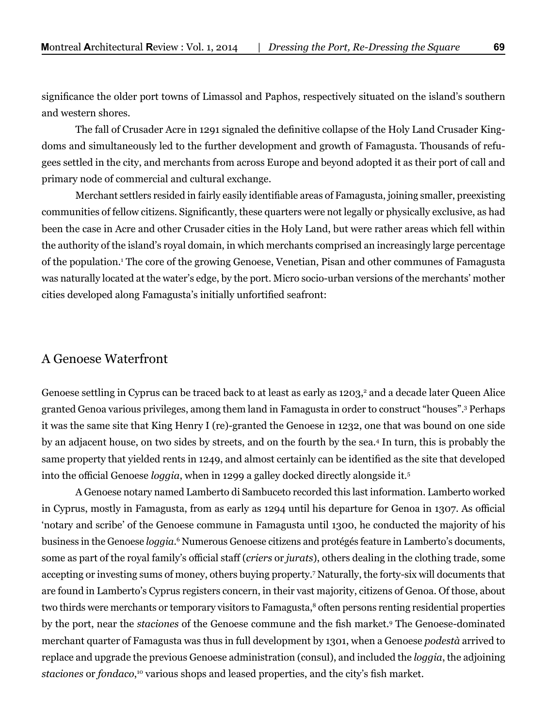significance the older port towns of Limassol and Paphos, respectively situated on the island's southern and western shores.

The fall of Crusader Acre in 1291 signaled the definitive collapse of the Holy Land Crusader Kingdoms and simultaneously led to the further development and growth of Famagusta. Thousands of refugees settled in the city, and merchants from across Europe and beyond adopted it as their port of call and primary node of commercial and cultural exchange.

Merchant settlers resided in fairly easily identifiable areas of Famagusta, joining smaller, preexisting communities of fellow citizens. Significantly, these quarters were not legally or physically exclusive, as had been the case in Acre and other Crusader cities in the Holy Land, but were rather areas which fell within the authority of the island's royal domain, in which merchants comprised an increasingly large percentage of the population.1 The core of the growing Genoese, Venetian, Pisan and other communes of Famagusta was naturally located at the water's edge, by the port. Micro socio-urban versions of the merchants' mother cities developed along Famagusta's initially unfortified seafront:

#### A Genoese Waterfront

Genoese settling in Cyprus can be traced back to at least as early as 1203,<sup>2</sup> and a decade later Queen Alice granted Genoa various privileges, among them land in Famagusta in order to construct "houses".3 Perhaps it was the same site that King Henry I (re)-granted the Genoese in 1232, one that was bound on one side by an adjacent house, on two sides by streets, and on the fourth by the sea.4 In turn, this is probably the same property that yielded rents in 1249, and almost certainly can be identified as the site that developed into the official Genoese *loggia*, when in 1299 a galley docked directly alongside it.5

A Genoese notary named Lamberto di Sambuceto recorded this last information. Lamberto worked in Cyprus, mostly in Famagusta, from as early as 1294 until his departure for Genoa in 1307. As official 'notary and scribe' of the Genoese commune in Famagusta until 1300, he conducted the majority of his business in the Genoese *loggia.*<sup>6</sup> Numerous Genoese citizens and protégés feature in Lamberto's documents, some as part of the royal family's official staff (*criers* or *jurats*), others dealing in the clothing trade, some accepting or investing sums of money, others buying property.7 Naturally, the forty-six will documents that are found in Lamberto's Cyprus registers concern, in their vast majority, citizens of Genoa. Of those, about two thirds were merchants or temporary visitors to Famagusta,<sup>8</sup> often persons renting residential properties by the port, near the *staciones* of the Genoese commune and the fish market.<sup>9</sup> The Genoese-dominated merchant quarter of Famagusta was thus in full development by 1301, when a Genoese *podestà* arrived to replace and upgrade the previous Genoese administration (consul), and included the *loggia*, the adjoining *staciones* or *fondaco*, 10 various shops and leased properties, and the city's fish market.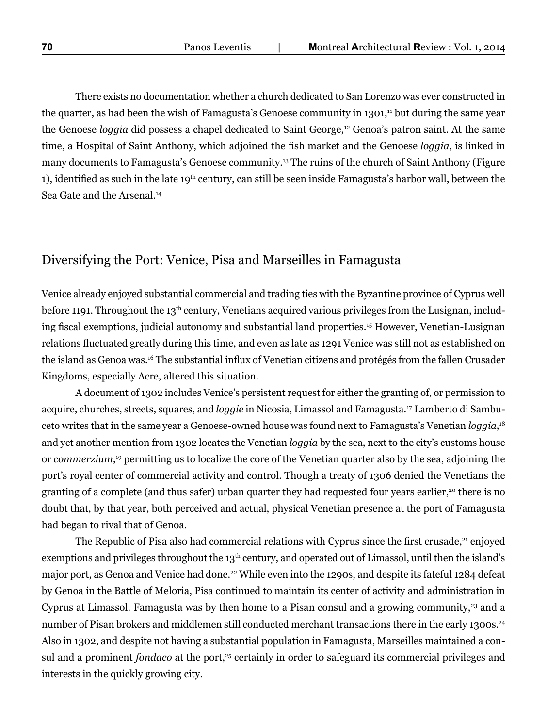There exists no documentation whether a church dedicated to San Lorenzo was ever constructed in the quarter, as had been the wish of Famagusta's Genoese community in 1301,<sup>11</sup> but during the same year the Genoese *loggia* did possess a chapel dedicated to Saint George,<sup>12</sup> Genoa's patron saint. At the same time, a Hospital of Saint Anthony, which adjoined the fish market and the Genoese *loggia*, is linked in many documents to Famagusta's Genoese community.13 The ruins of the church of Saint Anthony (Figure 1), identified as such in the late 19<sup>th</sup> century, can still be seen inside Famagusta's harbor wall, between the Sea Gate and the Arsenal.<sup>14</sup>

# Diversifying the Port: Venice, Pisa and Marseilles in Famagusta

Venice already enjoyed substantial commercial and trading ties with the Byzantine province of Cyprus well before 1191. Throughout the 13<sup>th</sup> century, Venetians acquired various privileges from the Lusignan, including fiscal exemptions, judicial autonomy and substantial land properties.15 However, Venetian-Lusignan relations fluctuated greatly during this time, and even as late as 1291 Venice was still not as established on the island as Genoa was.16 The substantial influx of Venetian citizens and protégés from the fallen Crusader Kingdoms, especially Acre, altered this situation.

A document of 1302 includes Venice's persistent request for either the granting of, or permission to acquire, churches, streets, squares, and *loggie* in Nicosia, Limassol and Famagusta.17 Lamberto di Sambuceto writes that in the same year a Genoese-owned house was found next to Famagusta's Venetian *loggia*, 18 and yet another mention from 1302 locates the Venetian *loggia* by the sea, next to the city's customs house or *commerzium*, 19 permitting us to localize the core of the Venetian quarter also by the sea, adjoining the port's royal center of commercial activity and control. Though a treaty of 1306 denied the Venetians the granting of a complete (and thus safer) urban quarter they had requested four years earlier,<sup>20</sup> there is no doubt that, by that year, both perceived and actual, physical Venetian presence at the port of Famagusta had began to rival that of Genoa.

The Republic of Pisa also had commercial relations with Cyprus since the first crusade, $21$  enjoyed exemptions and privileges throughout the 13<sup>th</sup> century, and operated out of Limassol, until then the island's major port, as Genoa and Venice had done.<sup>22</sup> While even into the 1290s, and despite its fateful 1284 defeat by Genoa in the Battle of Meloria, Pisa continued to maintain its center of activity and administration in Cyprus at Limassol. Famagusta was by then home to a Pisan consul and a growing community, $^{23}$  and a number of Pisan brokers and middlemen still conducted merchant transactions there in the early 1300s.<sup>24</sup> Also in 1302, and despite not having a substantial population in Famagusta, Marseilles maintained a consul and a prominent *fondaco* at the port,<sup>25</sup> certainly in order to safeguard its commercial privileges and interests in the quickly growing city.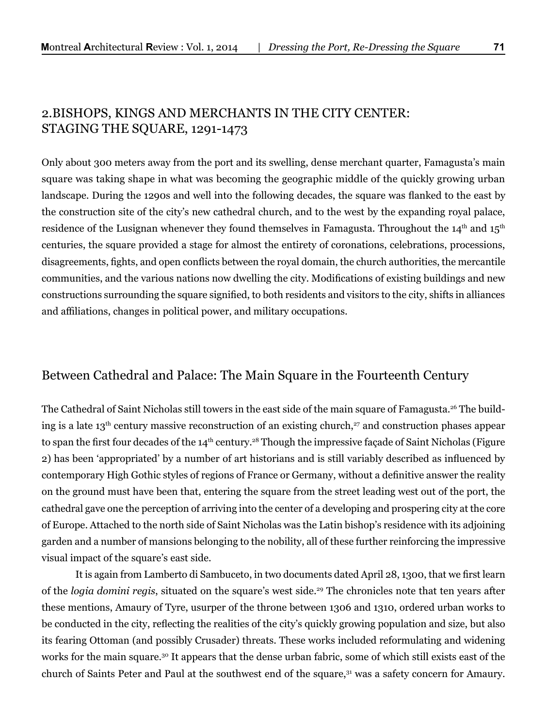## 2.BISHOPS, KINGS AND MERCHANTS IN THE CITY CENTER: STAGING THE SQUARE, 1291-1473

Only about 300 meters away from the port and its swelling, dense merchant quarter, Famagusta's main square was taking shape in what was becoming the geographic middle of the quickly growing urban landscape. During the 1290s and well into the following decades, the square was flanked to the east by the construction site of the city's new cathedral church, and to the west by the expanding royal palace, residence of the Lusignan whenever they found themselves in Famagusta. Throughout the  $14<sup>th</sup>$  and  $15<sup>th</sup>$ centuries, the square provided a stage for almost the entirety of coronations, celebrations, processions, disagreements, fights, and open conflicts between the royal domain, the church authorities, the mercantile communities, and the various nations now dwelling the city. Modifications of existing buildings and new constructions surrounding the square signified, to both residents and visitors to the city, shifts in alliances and affiliations, changes in political power, and military occupations.

## Between Cathedral and Palace: The Main Square in the Fourteenth Century

The Cathedral of Saint Nicholas still towers in the east side of the main square of Famagusta.<sup>26</sup> The building is a late  $13<sup>th</sup>$  century massive reconstruction of an existing church,<sup>27</sup> and construction phases appear to span the first four decades of the 14<sup>th</sup> century.<sup>28</sup> Though the impressive façade of Saint Nicholas (Figure 2) has been 'appropriated' by a number of art historians and is still variably described as influenced by contemporary High Gothic styles of regions of France or Germany, without a definitive answer the reality on the ground must have been that, entering the square from the street leading west out of the port, the cathedral gave one the perception of arriving into the center of a developing and prospering city at the core of Europe. Attached to the north side of Saint Nicholas was the Latin bishop's residence with its adjoining garden and a number of mansions belonging to the nobility, all of these further reinforcing the impressive visual impact of the square's east side.

It is again from Lamberto di Sambuceto, in two documents dated April 28, 1300, that we first learn of the *logia domini regis*, situated on the square's west side.<sup>29</sup> The chronicles note that ten years after these mentions, Amaury of Tyre, usurper of the throne between 1306 and 1310, ordered urban works to be conducted in the city, reflecting the realities of the city's quickly growing population and size, but also its fearing Ottoman (and possibly Crusader) threats. These works included reformulating and widening works for the main square.30 It appears that the dense urban fabric, some of which still exists east of the church of Saints Peter and Paul at the southwest end of the square,<sup>31</sup> was a safety concern for Amaury.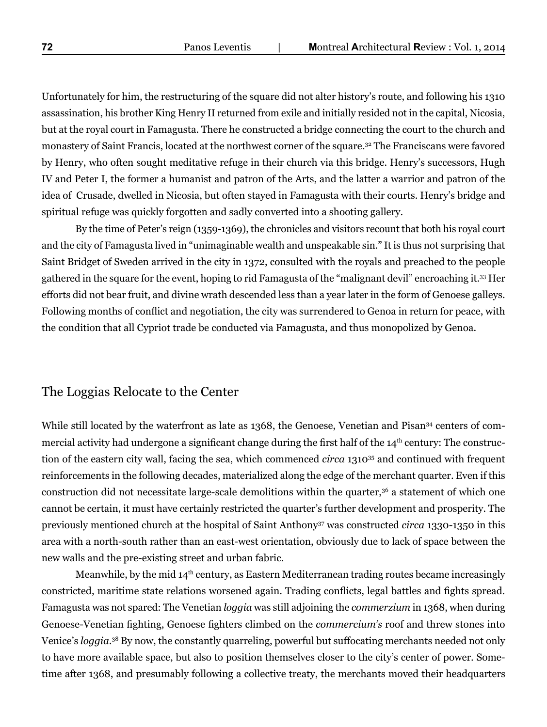Unfortunately for him, the restructuring of the square did not alter history's route, and following his 1310 assassination, his brother King Henry II returned from exile and initially resided not in the capital, Nicosia, but at the royal court in Famagusta. There he constructed a bridge connecting the court to the church and monastery of Saint Francis, located at the northwest corner of the square.<sup>32</sup> The Franciscans were favored by Henry, who often sought meditative refuge in their church via this bridge. Henry's successors, Hugh IV and Peter I, the former a humanist and patron of the Arts, and the latter a warrior and patron of the idea of Crusade, dwelled in Nicosia, but often stayed in Famagusta with their courts. Henry's bridge and spiritual refuge was quickly forgotten and sadly converted into a shooting gallery.

By the time of Peter's reign (1359-1369), the chronicles and visitors recount that both his royal court and the city of Famagusta lived in "unimaginable wealth and unspeakable sin." It is thus not surprising that Saint Bridget of Sweden arrived in the city in 1372, consulted with the royals and preached to the people gathered in the square for the event, hoping to rid Famagusta of the "malignant devil" encroaching it.33 Her efforts did not bear fruit, and divine wrath descended less than a year later in the form of Genoese galleys. Following months of conflict and negotiation, the city was surrendered to Genoa in return for peace, with the condition that all Cypriot trade be conducted via Famagusta, and thus monopolized by Genoa.

## The Loggias Relocate to the Center

While still located by the waterfront as late as 1368, the Genoese, Venetian and Pisan<sup>34</sup> centers of commercial activity had undergone a significant change during the first half of the 14<sup>th</sup> century: The construction of the eastern city wall, facing the sea, which commenced *circa* 1310<sup>35</sup> and continued with frequent reinforcements in the following decades, materialized along the edge of the merchant quarter. Even if this construction did not necessitate large-scale demolitions within the quarter,<sup>36</sup> a statement of which one cannot be certain, it must have certainly restricted the quarter's further development and prosperity. The previously mentioned church at the hospital of Saint Anthony37 was constructed *circa* 1330-1350 in this area with a north-south rather than an east-west orientation, obviously due to lack of space between the new walls and the pre-existing street and urban fabric.

Meanwhile, by the mid 14<sup>th</sup> century, as Eastern Mediterranean trading routes became increasingly constricted, maritime state relations worsened again. Trading conflicts, legal battles and fights spread. Famagusta was not spared: The Venetian *loggia* was still adjoining the *commerzium* in 1368, when during Genoese-Venetian fighting, Genoese fighters climbed on the *commercium's* roof and threw stones into Venice's *loggia.*<sup>38</sup> By now, the constantly quarreling, powerful but suffocating merchants needed not only to have more available space, but also to position themselves closer to the city's center of power. Sometime after 1368, and presumably following a collective treaty, the merchants moved their headquarters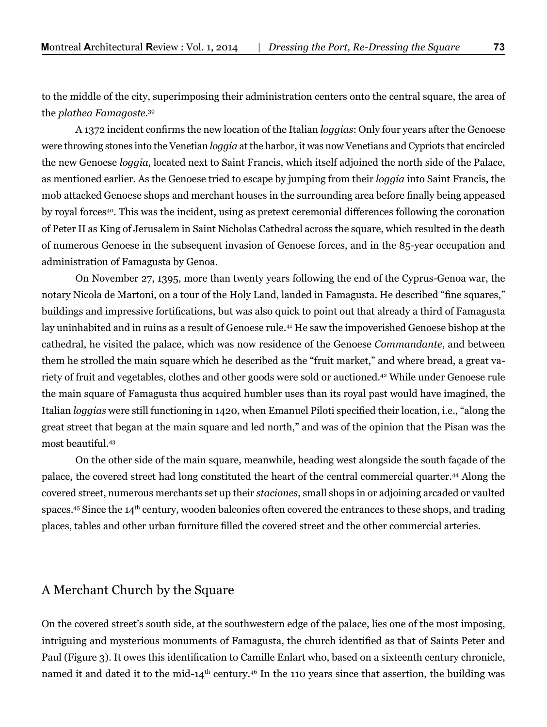to the middle of the city, superimposing their administration centers onto the central square, the area of the *plathea Famagoste.*<sup>39</sup>

A 1372 incident confirms the new location of the Italian *loggias*: Only four years after the Genoese were throwing stones into the Venetian *loggia* at the harbor, it was now Venetians and Cypriots that encircled the new Genoese *loggia*, located next to Saint Francis, which itself adjoined the north side of the Palace, as mentioned earlier. As the Genoese tried to escape by jumping from their *loggia* into Saint Francis, the mob attacked Genoese shops and merchant houses in the surrounding area before finally being appeased by royal forces<sup>40</sup>. This was the incident, using as pretext ceremonial differences following the coronation of Peter II as King of Jerusalem in Saint Nicholas Cathedral across the square, which resulted in the death of numerous Genoese in the subsequent invasion of Genoese forces, and in the 85-year occupation and administration of Famagusta by Genoa.

On November 27, 1395, more than twenty years following the end of the Cyprus-Genoa war, the notary Nicola de Martoni, on a tour of the Holy Land, landed in Famagusta. He described "fine squares," buildings and impressive fortifications, but was also quick to point out that already a third of Famagusta lay uninhabited and in ruins as a result of Genoese rule.<sup>41</sup> He saw the impoverished Genoese bishop at the cathedral, he visited the palace, which was now residence of the Genoese *Commandante*, and between them he strolled the main square which he described as the "fruit market," and where bread, a great variety of fruit and vegetables, clothes and other goods were sold or auctioned.42 While under Genoese rule the main square of Famagusta thus acquired humbler uses than its royal past would have imagined, the Italian *loggias* were still functioning in 1420, when Emanuel Piloti specified their location, i.e., "along the great street that began at the main square and led north," and was of the opinion that the Pisan was the most beautiful.43

On the other side of the main square, meanwhile, heading west alongside the south façade of the palace, the covered street had long constituted the heart of the central commercial quarter.44 Along the covered street, numerous merchants set up their *staciones*, small shops in or adjoining arcaded or vaulted spaces.<sup>45</sup> Since the 14<sup>th</sup> century, wooden balconies often covered the entrances to these shops, and trading places, tables and other urban furniture filled the covered street and the other commercial arteries.

#### A Merchant Church by the Square

On the covered street's south side, at the southwestern edge of the palace, lies one of the most imposing, intriguing and mysterious monuments of Famagusta, the church identified as that of Saints Peter and Paul (Figure 3). It owes this identification to Camille Enlart who, based on a sixteenth century chronicle, named it and dated it to the mid-14<sup>th</sup> century.<sup>46</sup> In the 110 years since that assertion, the building was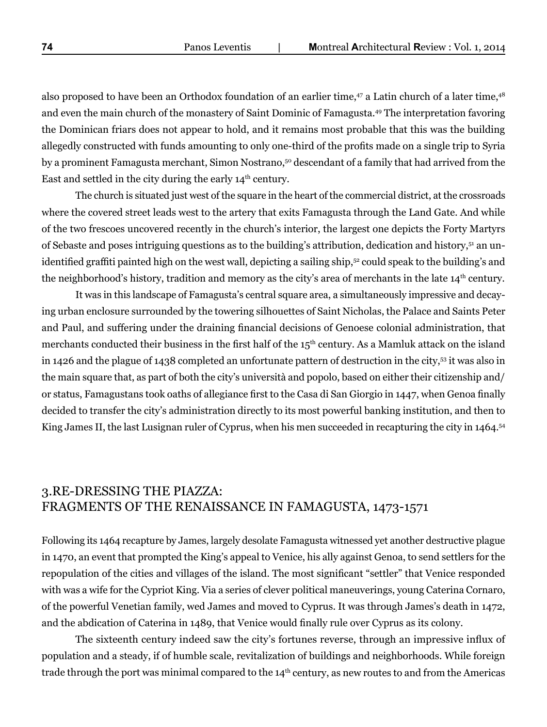also proposed to have been an Orthodox foundation of an earlier time,47 a Latin church of a later time,48 and even the main church of the monastery of Saint Dominic of Famagusta.49 The interpretation favoring the Dominican friars does not appear to hold, and it remains most probable that this was the building allegedly constructed with funds amounting to only one-third of the profits made on a single trip to Syria by a prominent Famagusta merchant, Simon Nostrano,50 descendant of a family that had arrived from the East and settled in the city during the early  $14<sup>th</sup>$  century.

The church is situated just west of the square in the heart of the commercial district, at the crossroads where the covered street leads west to the artery that exits Famagusta through the Land Gate. And while of the two frescoes uncovered recently in the church's interior, the largest one depicts the Forty Martyrs of Sebaste and poses intriguing questions as to the building's attribution, dedication and history,51 an unidentified graffiti painted high on the west wall, depicting a sailing ship,52 could speak to the building's and the neighborhood's history, tradition and memory as the city's area of merchants in the late 14<sup>th</sup> century.

It was in this landscape of Famagusta's central square area, a simultaneously impressive and decaying urban enclosure surrounded by the towering silhouettes of Saint Nicholas, the Palace and Saints Peter and Paul, and suffering under the draining financial decisions of Genoese colonial administration, that merchants conducted their business in the first half of the 15<sup>th</sup> century. As a Mamluk attack on the island in 1426 and the plague of 1438 completed an unfortunate pattern of destruction in the city,53 it was also in the main square that, as part of both the city's università and popolo, based on either their citizenship and/ or status, Famagustans took oaths of allegiance first to the Casa di San Giorgio in 1447, when Genoa finally decided to transfer the city's administration directly to its most powerful banking institution, and then to King James II, the last Lusignan ruler of Cyprus, when his men succeeded in recapturing the city in 1464.<sup>54</sup>

## 3.RE-DRESSING THE PIAZZA: FRAGMENTS OF THE RENAISSANCE IN FAMAGUSTA, 1473-1571

Following its 1464 recapture by James, largely desolate Famagusta witnessed yet another destructive plague in 1470, an event that prompted the King's appeal to Venice, his ally against Genoa, to send settlers for the repopulation of the cities and villages of the island. The most significant "settler" that Venice responded with was a wife for the Cypriot King. Via a series of clever political maneuverings, young Caterina Cornaro, of the powerful Venetian family, wed James and moved to Cyprus. It was through James's death in 1472, and the abdication of Caterina in 1489, that Venice would finally rule over Cyprus as its colony.

The sixteenth century indeed saw the city's fortunes reverse, through an impressive influx of population and a steady, if of humble scale, revitalization of buildings and neighborhoods. While foreign trade through the port was minimal compared to the 14<sup>th</sup> century, as new routes to and from the Americas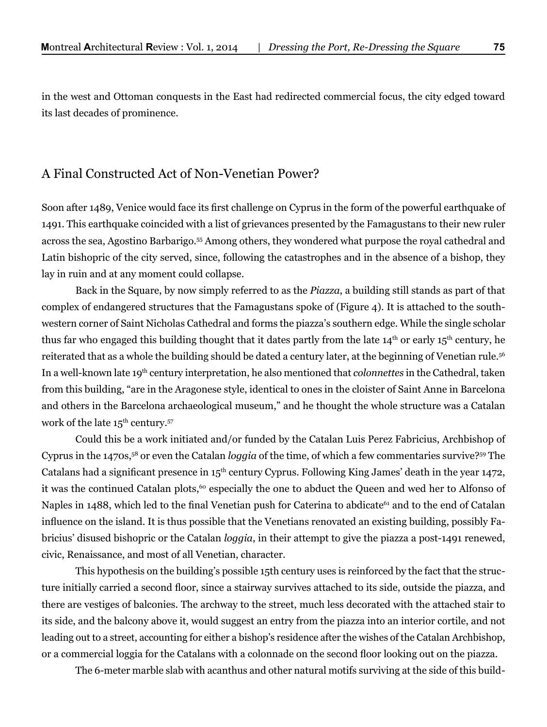in the west and Ottoman conquests in the East had redirected commercial focus, the city edged toward its last decades of prominence.

## A Final Constructed Act of Non-Venetian Power?

Soon after 1489, Venice would face its first challenge on Cyprus in the form of the powerful earthquake of 1491. This earthquake coincided with a list of grievances presented by the Famagustans to their new ruler across the sea, Agostino Barbarigo.55 Among others, they wondered what purpose the royal cathedral and Latin bishopric of the city served, since, following the catastrophes and in the absence of a bishop, they lay in ruin and at any moment could collapse.

Back in the Square, by now simply referred to as the *Piazza*, a building still stands as part of that complex of endangered structures that the Famagustans spoke of (Figure 4). It is attached to the southwestern corner of Saint Nicholas Cathedral and forms the piazza's southern edge. While the single scholar thus far who engaged this building thought that it dates partly from the late 14<sup>th</sup> or early 15<sup>th</sup> century, he reiterated that as a whole the building should be dated a century later, at the beginning of Venetian rule.56 In a well-known late 19th century interpretation, he also mentioned that *colonnettes* in the Cathedral, taken from this building, "are in the Aragonese style, identical to ones in the cloister of Saint Anne in Barcelona and others in the Barcelona archaeological museum," and he thought the whole structure was a Catalan work of the late  $15^{th}$  century.<sup>57</sup>

Could this be a work initiated and/or funded by the Catalan Luis Perez Fabricius, Archbishop of Cyprus in the 1470s,58 or even the Catalan *loggia* of the time, of which a few commentaries survive?59 The Catalans had a significant presence in 15<sup>th</sup> century Cyprus. Following King James' death in the year 1472, it was the continued Catalan plots,<sup>60</sup> especially the one to abduct the Queen and wed her to Alfonso of Naples in 1488, which led to the final Venetian push for Caterina to abdicate<sup>61</sup> and to the end of Catalan influence on the island. It is thus possible that the Venetians renovated an existing building, possibly Fabricius' disused bishopric or the Catalan *loggia*, in their attempt to give the piazza a post-1491 renewed, civic, Renaissance, and most of all Venetian, character.

This hypothesis on the building's possible 15th century uses is reinforced by the fact that the structure initially carried a second floor, since a stairway survives attached to its side, outside the piazza, and there are vestiges of balconies. The archway to the street, much less decorated with the attached stair to its side, and the balcony above it, would suggest an entry from the piazza into an interior cortile, and not leading out to a street, accounting for either a bishop's residence after the wishes of the Catalan Archbishop, or a commercial loggia for the Catalans with a colonnade on the second floor looking out on the piazza.

The 6-meter marble slab with acanthus and other natural motifs surviving at the side of this build-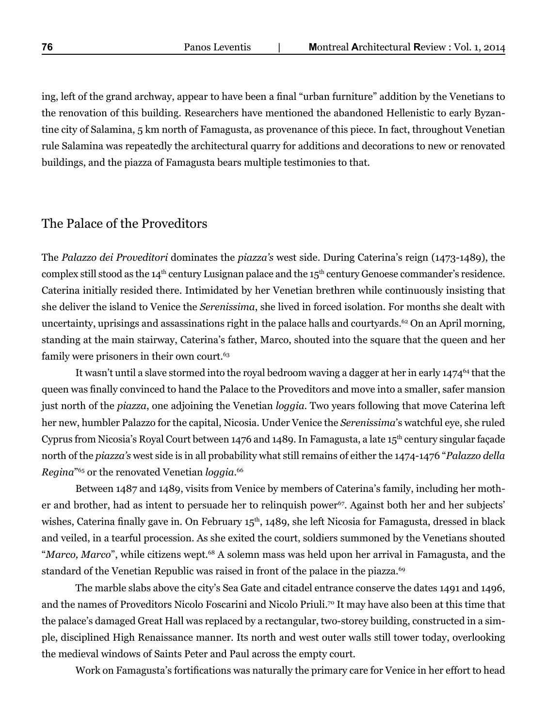ing, left of the grand archway, appear to have been a final "urban furniture" addition by the Venetians to the renovation of this building. Researchers have mentioned the abandoned Hellenistic to early Byzantine city of Salamina, 5 km north of Famagusta, as provenance of this piece. In fact, throughout Venetian rule Salamina was repeatedly the architectural quarry for additions and decorations to new or renovated buildings, and the piazza of Famagusta bears multiple testimonies to that.

## The Palace of the Proveditors

The *Palazzo dei Proveditori* dominates the *piazza's* west side. During Caterina's reign (1473-1489), the complex still stood as the  $14<sup>th</sup>$  century Lusignan palace and the  $15<sup>th</sup>$  century Genoese commander's residence. Caterina initially resided there. Intimidated by her Venetian brethren while continuously insisting that she deliver the island to Venice the *Serenissima*, she lived in forced isolation. For months she dealt with uncertainty, uprisings and assassinations right in the palace halls and courtyards.<sup>62</sup> On an April morning, standing at the main stairway, Caterina's father, Marco, shouted into the square that the queen and her family were prisoners in their own court.<sup>63</sup>

It wasn't until a slave stormed into the royal bedroom waving a dagger at her in early 1474<sup>64</sup> that the queen was finally convinced to hand the Palace to the Proveditors and move into a smaller, safer mansion just north of the *piazza*, one adjoining the Venetian *loggia*. Two years following that move Caterina left her new, humbler Palazzo for the capital, Nicosia. Under Venice the *Serenissima*'s watchful eye, she ruled Cyprus from Nicosia's Royal Court between 1476 and 1489. In Famagusta, a late 15<sup>th</sup> century singular façade north of the *piazza's* west side is in all probability what still remains of either the 1474-1476 "*Palazzo della Regina*"65 or the renovated Venetian *loggia*. 66

Between 1487 and 1489, visits from Venice by members of Caterina's family, including her mother and brother, had as intent to persuade her to relinquish power<sup>67</sup>. Against both her and her subjects' wishes, Caterina finally gave in. On February 15<sup>th</sup>, 1489, she left Nicosia for Famagusta, dressed in black and veiled, in a tearful procession. As she exited the court, soldiers summoned by the Venetians shouted "*Marco, Marco*", while citizens wept.<sup>68</sup> A solemn mass was held upon her arrival in Famagusta, and the standard of the Venetian Republic was raised in front of the palace in the piazza.<sup>69</sup>

The marble slabs above the city's Sea Gate and citadel entrance conserve the dates 1491 and 1496, and the names of Proveditors Nicolo Foscarini and Nicolo Priuli.<sup>70</sup> It may have also been at this time that the palace's damaged Great Hall was replaced by a rectangular, two-storey building, constructed in a simple, disciplined High Renaissance manner. Its north and west outer walls still tower today, overlooking the medieval windows of Saints Peter and Paul across the empty court.

Work on Famagusta's fortifications was naturally the primary care for Venice in her effort to head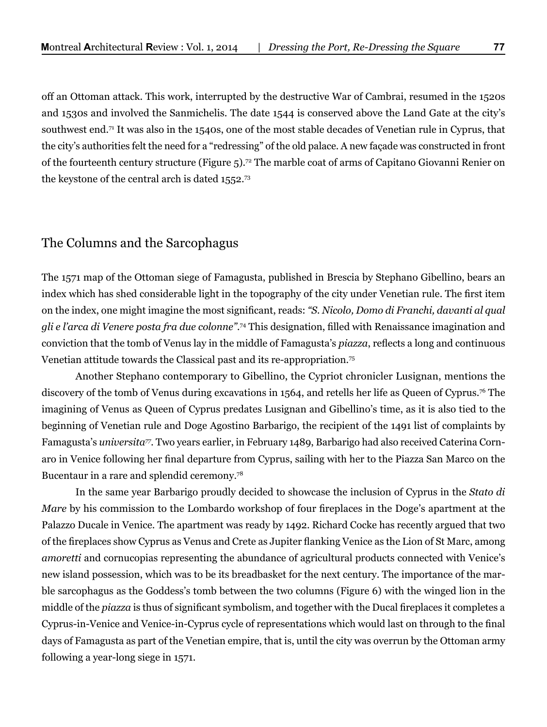off an Ottoman attack. This work, interrupted by the destructive War of Cambrai, resumed in the 1520s and 1530s and involved the Sanmichelis. The date 1544 is conserved above the Land Gate at the city's southwest end.<sup>71</sup> It was also in the 1540s, one of the most stable decades of Venetian rule in Cyprus, that the city's authorities felt the need for a "redressing" of the old palace. A new façade was constructed in front of the fourteenth century structure (Figure 5).72 The marble coat of arms of Capitano Giovanni Renier on the keystone of the central arch is dated 1552.73

## The Columns and the Sarcophagus

The 1571 map of the Ottoman siege of Famagusta, published in Brescia by Stephano Gibellino, bears an index which has shed considerable light in the topography of the city under Venetian rule. The first item on the index, one might imagine the most significant, reads: *"S. Nicolo, Domo di Franchi, davanti al qual gli e l'arca di Venere posta fra due colonne".*<sup>74</sup> This designation, filled with Renaissance imagination and conviction that the tomb of Venus lay in the middle of Famagusta's *piazza*, reflects a long and continuous Venetian attitude towards the Classical past and its re-appropriation.75

Another Stephano contemporary to Gibellino, the Cypriot chronicler Lusignan, mentions the discovery of the tomb of Venus during excavations in 1564, and retells her life as Queen of Cyprus.76 The imagining of Venus as Queen of Cyprus predates Lusignan and Gibellino's time, as it is also tied to the beginning of Venetian rule and Doge Agostino Barbarigo, the recipient of the 1491 list of complaints by Famagusta's *universita77.* Two years earlier, in February 1489, Barbarigo had also received Caterina Cornaro in Venice following her final departure from Cyprus, sailing with her to the Piazza San Marco on the Bucentaur in a rare and splendid ceremony.<sup>78</sup>

In the same year Barbarigo proudly decided to showcase the inclusion of Cyprus in the *Stato di Mare* by his commission to the Lombardo workshop of four fireplaces in the Doge's apartment at the Palazzo Ducale in Venice. The apartment was ready by 1492. Richard Cocke has recently argued that two of the fireplaces show Cyprus as Venus and Crete as Jupiter flanking Venice as the Lion of St Marc, among *amoretti* and cornucopias representing the abundance of agricultural products connected with Venice's new island possession, which was to be its breadbasket for the next century. The importance of the marble sarcophagus as the Goddess's tomb between the two columns (Figure 6) with the winged lion in the middle of the *piazza* is thus of significant symbolism, and together with the Ducal fireplaces it completes a Cyprus-in-Venice and Venice-in-Cyprus cycle of representations which would last on through to the final days of Famagusta as part of the Venetian empire, that is, until the city was overrun by the Ottoman army following a year-long siege in 1571.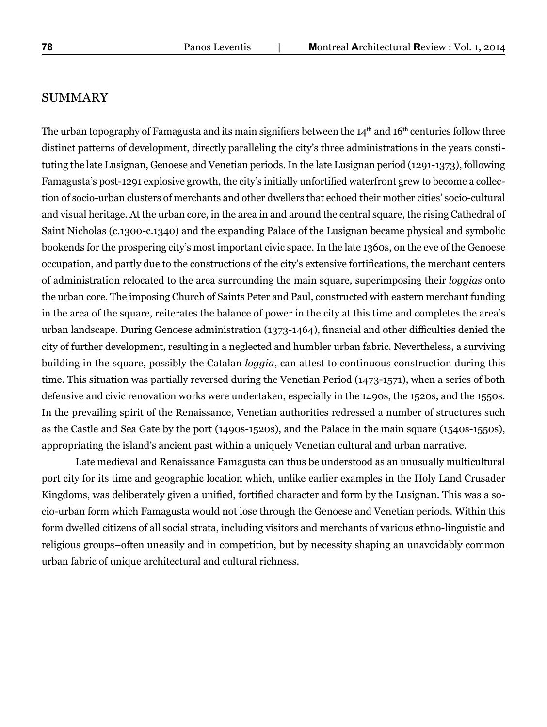#### SUMMARY

The urban topography of Famagusta and its main signifiers between the  $14<sup>th</sup>$  and  $16<sup>th</sup>$  centuries follow three distinct patterns of development, directly paralleling the city's three administrations in the years constituting the late Lusignan, Genoese and Venetian periods. In the late Lusignan period (1291-1373), following Famagusta's post-1291 explosive growth, the city's initially unfortified waterfront grew to become a collection of socio-urban clusters of merchants and other dwellers that echoed their mother cities' socio-cultural and visual heritage. At the urban core, in the area in and around the central square, the rising Cathedral of Saint Nicholas (c.1300-c.1340) and the expanding Palace of the Lusignan became physical and symbolic bookends for the prospering city's most important civic space. In the late 1360s, on the eve of the Genoese occupation, and partly due to the constructions of the city's extensive fortifications, the merchant centers of administration relocated to the area surrounding the main square, superimposing their *loggias* onto the urban core. The imposing Church of Saints Peter and Paul, constructed with eastern merchant funding in the area of the square, reiterates the balance of power in the city at this time and completes the area's urban landscape. During Genoese administration (1373-1464), financial and other difficulties denied the city of further development, resulting in a neglected and humbler urban fabric. Nevertheless, a surviving building in the square, possibly the Catalan *loggia*, can attest to continuous construction during this time. This situation was partially reversed during the Venetian Period (1473-1571), when a series of both defensive and civic renovation works were undertaken, especially in the 1490s, the 1520s, and the 1550s. In the prevailing spirit of the Renaissance, Venetian authorities redressed a number of structures such as the Castle and Sea Gate by the port (1490s-1520s), and the Palace in the main square (1540s-1550s), appropriating the island's ancient past within a uniquely Venetian cultural and urban narrative.

Late medieval and Renaissance Famagusta can thus be understood as an unusually multicultural port city for its time and geographic location which, unlike earlier examples in the Holy Land Crusader Kingdoms, was deliberately given a unified, fortified character and form by the Lusignan. This was a socio-urban form which Famagusta would not lose through the Genoese and Venetian periods. Within this form dwelled citizens of all social strata, including visitors and merchants of various ethno-linguistic and religious groups–often uneasily and in competition, but by necessity shaping an unavoidably common urban fabric of unique architectural and cultural richness.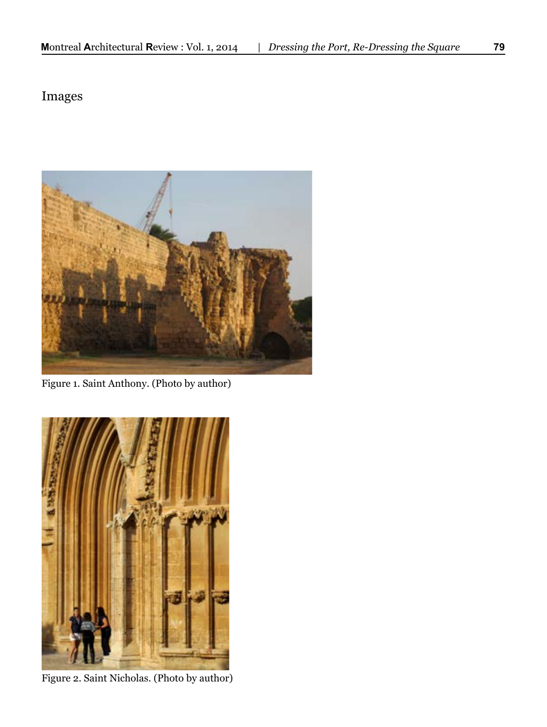# Images



Figure 1. Saint Anthony. (Photo by author)



Figure 2. Saint Nicholas. (Photo by author)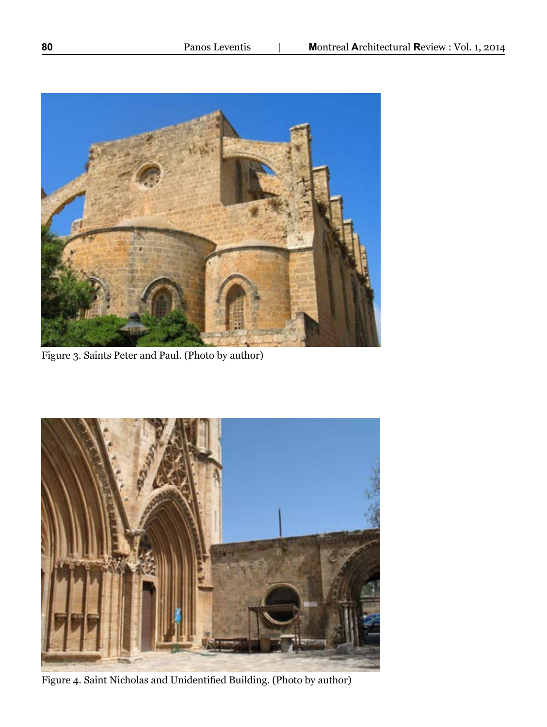

Figure 3. Saints Peter and Paul. (Photo by author)



Figure 4. Saint Nicholas and Unidentified Building. (Photo by author)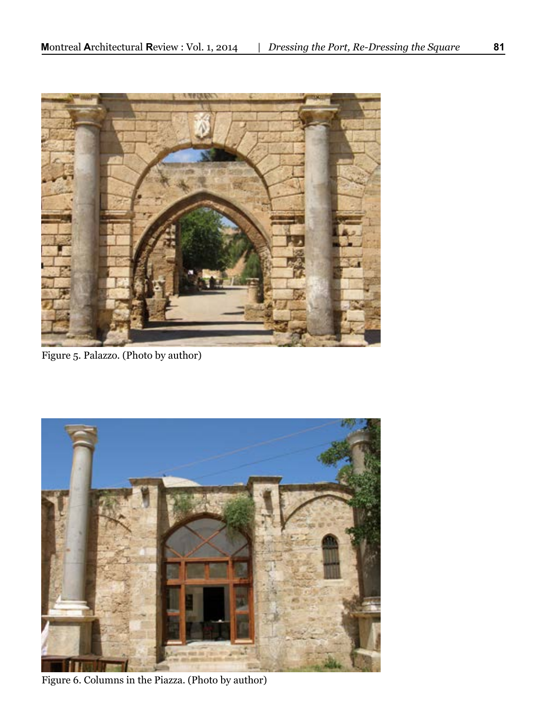

Figure 5. Palazzo. (Photo by author)



Figure 6. Columns in the Piazza. (Photo by author)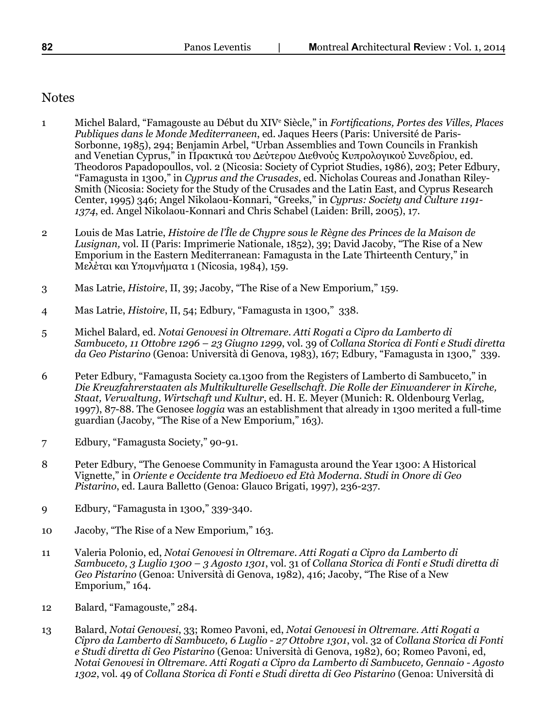## **Notes**

- 1 Michel Balard, "Famagouste au Début du XIVe Siècle," in *Fortifications, Portes des Villes, Places Publiques dans le Monde Mediterraneen*, ed. Jaques Heers (Paris: Université de Paris-Sorbonne, 1985), 294; Benjamin Arbel, "Urban Assemblies and Town Councils in Frankish and Venetian Cyprus," in Πρακτικά του Δεύτερου Διεθνούς Κυπρολογικού Συνεδρίου, ed. Theodoros Papadopoullos, vol. 2 (Nicosia: Society of Cypriot Studies, 1986), 203; Peter Edbury, "Famagusta in 1300," in *Cyprus and the Crusades*, ed. Nicholas Coureas and Jonathan Riley-Smith (Nicosia: Society for the Study of the Crusades and the Latin East, and Cyprus Research Center, 1995) 346; Angel Nikolaou-Konnari, "Greeks," in *Cyprus: Society and Culture 1191- 1374*, ed. Angel Nikolaou-Konnari and Chris Schabel (Laiden: Brill, 2005), 17.
- 2 Louis de Mas Latrie, *Histoire de l'Île de Chypre sous le Règne des Princes de la Maison de Lusignan,* vol. II (Paris: Imprimerie Nationale, 1852), 39; David Jacoby, "The Rise of a New Emporium in the Eastern Mediterranean: Famagusta in the Late Thirteenth Century," in Μελέται και Υπομνήματα 1 (Nicosia, 1984), 159.
- 3 Mas Latrie, *Histoire*, II, 39; Jacoby, "The Rise of a New Emporium," 159.
- 4 Mas Latrie, *Histoire*, II, 54; Edbury, "Famagusta in 1300," 338.
- 5 Michel Balard, ed. *Notai Genovesi in Oltremare. Atti Rogati a Cipro da Lamberto di Sambuceto, 11 Ottobre 1296 – 23 Giugno 1299*, vol. 39 of *Collana Storica di Fonti e Studi diretta da Geo Pistarino* (Genoa: Università di Genova, 1983), 167; Edbury, "Famagusta in 1300," 339.
- 6 Peter Edbury, "Famagusta Society ca.1300 from the Registers of Lamberto di Sambuceto," in *Die Kreuzfahrerstaaten als Multikulturelle Gesellschaft. Die Rolle der Einwanderer in Kirche, Staat, Verwaltung, Wirtschaft und Kultur*, ed. H. E. Meyer (Munich: R. Oldenbourg Verlag, 1997), 87-88. The Genosee *loggia* was an establishment that already in 1300 merited a full-time guardian (Jacoby, "The Rise of a New Emporium," 163).
- 7 Edbury, "Famagusta Society," 90-91.
- 8 Peter Edbury, "The Genoese Community in Famagusta around the Year 1300: A Historical Vignette," in *Oriente e Occidente tra Medioevo ed Età Moderna. Studi in Onore di Geo Pistarino*, ed. Laura Balletto (Genoa: Glauco Brigati, 1997), 236-237.
- 9 Edbury, "Famagusta in 1300," 339-340.
- 10 Jacoby, "The Rise of a New Emporium," 163.
- 11 Valeria Polonio, ed, *Notai Genovesi in Oltremare. Atti Rogati a Cipro da Lamberto di Sambuceto, 3 Luglio 1300 – 3 Agosto 1301*, vol. 31 of *Collana Storica di Fonti e Studi diretta di Geo Pistarino* (Genoa: Università di Genova, 1982), 416; Jacoby, "The Rise of a New Emporium," 164.
- 12 Balard, "Famagouste," 284.
- 13 Balard, *Notai Genovesi*, 33; Romeo Pavoni, ed, *Notai Genovesi in Oltremare. Atti Rogati a Cipro da Lamberto di Sambuceto, 6 Luglio - 27 Ottobre 1301*, vol. 32 of *Collana Storica di Fonti e Studi diretta di Geo Pistarino* (Genoa: Università di Genova, 1982), 60; Romeo Pavoni, ed, *Notai Genovesi in Oltremare. Atti Rogati a Cipro da Lamberto di Sambuceto, Gennaio - Agosto 1302*, vol. 49 of *Collana Storica di Fonti e Studi diretta di Geo Pistarino* (Genoa: Università di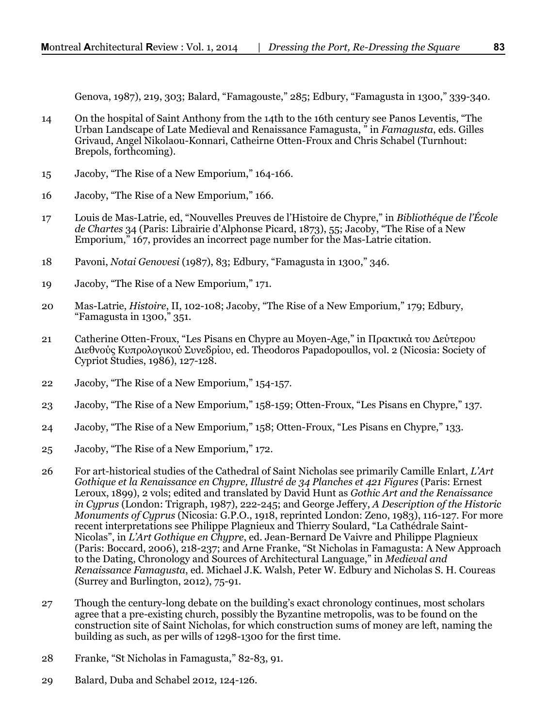Genova, 1987), 219, 303; Balard, "Famagouste," 285; Edbury, "Famagusta in 1300," 339-340.

- 14 On the hospital of Saint Anthony from the 14th to the 16th century see Panos Leventis, "The Urban Landscape of Late Medieval and Renaissance Famagusta, " in *Famagusta*, eds. Gilles Grivaud, Angel Nikolaou-Konnari, Catheirne Otten-Froux and Chris Schabel (Turnhout: Brepols, forthcoming).
- 15 Jacoby, "The Rise of a New Emporium," 164-166.
- 16 Jacoby, "The Rise of a New Emporium," 166.
- 17 Louis de Mas-Latrie, ed, "Nouvelles Preuves de l'Histoire de Chypre," in *Bibliothéque de l'École de Chartes* 34 (Paris: Librairie d'Alphonse Picard, 1873), 55; Jacoby, "The Rise of a New Emporium," 167, provides an incorrect page number for the Mas-Latrie citation.
- 18 Pavoni, *Notai Genovesi* (1987), 83; Edbury, "Famagusta in 1300," 346.
- 19 Jacoby, "The Rise of a New Emporium," 171.
- 20 Mas-Latrie, *Histoire*, II, 102-108; Jacoby, "The Rise of a New Emporium," 179; Edbury, "Famagusta in 1300," 351.
- 21 Catherine Otten-Froux, "Les Pisans en Chypre au Moyen-Age," in Πρακτικά του Δεύτερου Διεθνούς Κυπρολογικού Συνεδρίου, ed. Theodoros Papadopoullos, vol. 2 (Nicosia: Society of Cypriot Studies, 1986), 127-128.
- 22 Jacoby, "The Rise of a New Emporium," 154-157.
- 23 Jacoby, "The Rise of a New Emporium," 158-159; Otten-Froux, "Les Pisans en Chypre," 137.
- 24 Jacoby, "The Rise of a New Emporium," 158; Otten-Froux, "Les Pisans en Chypre," 133.
- 25 Jacoby, "The Rise of a New Emporium," 172.
- 26 For art-historical studies of the Cathedral of Saint Nicholas see primarily Camille Enlart, *L'Art Gothique et la Renaissance en Chypre, Illustré de 34 Planches et 421 Figures* (Paris: Ernest Leroux, 1899), 2 vols; edited and translated by David Hunt as *Gothic Art and the Renaissance in Cyprus* (London: Trigraph, 1987), 222-245; and George Jeffery, *A Description of the Historic Monuments of Cyprus* (Nicosia: G.P.O., 1918, reprinted London: Zeno, 1983), 116-127. For more recent interpretations see Philippe Plagnieux and Thierry Soulard, "La Cathédrale Saint-Nicolas", in *L'Art Gothique en Chypre*, ed. Jean-Bernard De Vaivre and Philippe Plagnieux (Paris: Boccard, 2006), 218-237; and Arne Franke, "St Nicholas in Famagusta: A New Approach to the Dating, Chronology and Sources of Architectural Language," in *Medieval and Renaissance Famagusta*, ed. Michael J.K. Walsh, Peter W. Edbury and Nicholas S. H. Coureas (Surrey and Burlington, 2012), 75-91.
- 27 Though the century-long debate on the building's exact chronology continues, most scholars agree that a pre-existing church, possibly the Byzantine metropolis, was to be found on the construction site of Saint Nicholas, for which construction sums of money are left, naming the building as such, as per wills of 1298-1300 for the first time.
- 28 Franke, "St Nicholas in Famagusta," 82-83, 91.
- 29 Balard, Duba and Schabel 2012, 124-126.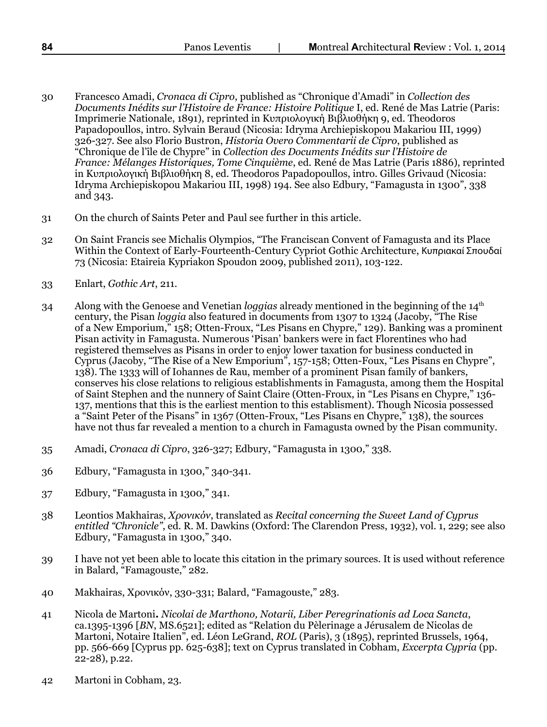- 30 Francesco Amadi, *Cronaca di Cipro*, published as "Chronique d'Amadi" in *Collection des Documents Inédits sur l'Histoire de France: Histoire Politique* I, ed. René de Mas Latrie (Paris: Imprimerie Nationale, 1891), reprinted in Κυπριολογική Βιβλιοθήκη 9, ed. Theodoros Papadopoullos, intro. Sylvain Beraud (Nicosia: Idryma Archiepiskopou Makariou III, 1999) 326-327. See also Florio Bustron, *Historia Overo Commentarii de Cipro*, published as "Chronique de l'île de Chypre" in *Collection des Documents Inédits sur l'Histoire de France: Mélanges Historiques, Tome Cinquième*, ed. René de Mas Latrie (Paris 1886), reprinted in Κυπριολογική Βιβλιοθήκη 8, ed. Theodoros Papadopoullos, intro. Gilles Grivaud (Nicosia: Idryma Archiepiskopou Makariou III, 1998) 194. See also Edbury, "Famagusta in 1300", 338 and 343.
- 31 On the church of Saints Peter and Paul see further in this article.
- 32 On Saint Francis see Michalis Olympios, "The Franciscan Convent of Famagusta and its Place Within the Context of Early-Fourteenth-Century Cypriot Gothic Architecture, Κυπριακαί Σπουδαί 73 (Nicosia: Etaireia Kypriakon Spoudon 2009, published 2011), 103-122.
- 33 Enlart, *Gothic Art*, 211.
- 34 Along with the Genoese and Venetian *loggias* already mentioned in the beginning of the 14th century, the Pisan *loggia* also featured in documents from 1307 to 1324 (Jacoby, "The Rise of a New Emporium," 158; Otten-Froux, "Les Pisans en Chypre," 129). Banking was a prominent Pisan activity in Famagusta. Numerous 'Pisan' bankers were in fact Florentines who had registered themselves as Pisans in order to enjoy lower taxation for business conducted in Cyprus (Jacoby, "The Rise of a New Emporium", 157-158; Otten-Foux, "Les Pisans en Chypre", 138). The 1333 will of Iohannes de Rau, member of a prominent Pisan family of bankers, conserves his close relations to religious establishments in Famagusta, among them the Hospital of Saint Stephen and the nunnery of Saint Claire (Otten-Froux, in "Les Pisans en Chypre," 136- 137, mentions that this is the earliest mention to this establisment). Though Nicosia possessed a "Saint Peter of the Pisans" in 1367 (Otten-Froux, "Les Pisans en Chypre," 138), the sources have not thus far revealed a mention to a church in Famagusta owned by the Pisan community.
- 35 Amadi, *Cronaca di Cipro*, 326-327; Edbury, "Famagusta in 1300," 338.
- 36 Edbury, "Famagusta in 1300," 340-341.
- 37 Edbury, "Famagusta in 1300," 341.
- 38 Leontios Makhairas, *Χρονικόν*, translated as *Recital concerning the Sweet Land of Cyprus entitled "Chronicle"*, ed. R. M. Dawkins (Oxford: The Clarendon Press, 1932), vol. 1, 229; see also Edbury, "Famagusta in 1300," 340.
- 39 I have not yet been able to locate this citation in the primary sources. It is used without reference in Balard, "Famagouste," 282.
- 40 Makhairas, Χρονικόν, 330-331; Balard, "Famagouste," 283.
- 41 Nicola de Martoni**.** *Nicolai de Marthono, Notarii, Liber Peregrinationis ad Loca Sancta*, ca.1395-1396 [*BN*, MS.6521]; edited as "Relation du Pèlerinage a Jérusalem de Nicolas de Martoni, Notaire Italien", ed. Léon LeGrand, *ROL* (Paris), 3 (1895), reprinted Brussels, 1964, pp. 566-669 [Cyprus pp. 625-638]; text on Cyprus translated in Cobham, *Excerpta Cypria* (pp. 22-28), p.22.
- 42 Martoni in Cobham, 23.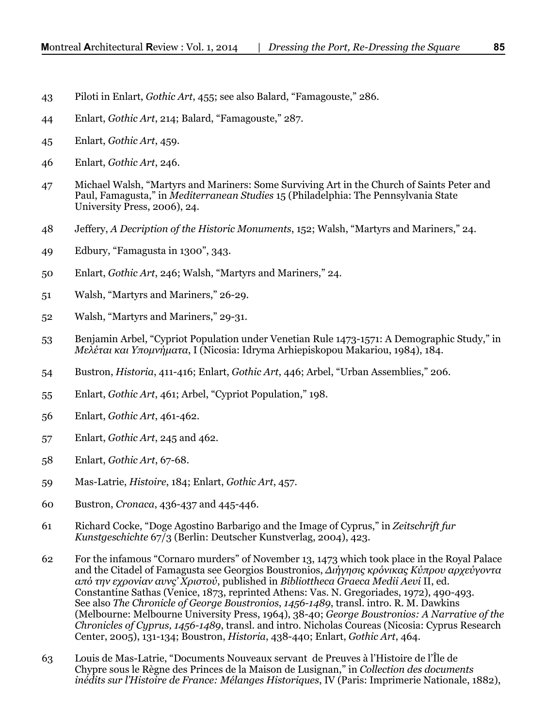- 43 Piloti in Enlart, *Gothic Art*, 455; see also Balard, "Famagouste," 286.
- 44 Enlart, *Gothic Art*, 214; Balard, "Famagouste," 287.
- 45 Enlart, *Gothic Art*, 459.
- 46 Enlart, *Gothic Art*, 246.
- 47 Michael Walsh, "Martyrs and Mariners: Some Surviving Art in the Church of Saints Peter and Paul, Famagusta," in *Mediterranean Studies* 15 (Philadelphia: The Pennsylvania State University Press, 2006), 24.
- 48 Jeffery, *A Decription of the Historic Monuments*, 152; Walsh, "Martyrs and Mariners," 24.
- 49 Edbury, "Famagusta in 1300", 343.
- 50 Enlart, *Gothic Art*, 246; Walsh, "Martyrs and Mariners," 24.
- 51 Walsh, "Martyrs and Mariners," 26-29.
- 52 Walsh, "Martyrs and Mariners," 29-31.
- 53 Benjamin Arbel, "Cypriot Population under Venetian Rule 1473-1571: A Demographic Study," in *Μελέται και Υπομνήματα*, I (Nicosia: Idryma Arhiepiskopou Makariou, 1984), 184.
- 54 Bustron, *Historia*, 411-416; Enlart, *Gothic Art*, 446; Arbel, "Urban Assemblies," 206.
- 55 Enlart, *Gothic Art*, 461; Arbel, "Cypriot Population," 198.
- 56 Enlart, *Gothic Art*, 461-462.
- 57 Enlart, *Gothic Art*, 245 and 462.
- 58 Enlart, *Gothic Art*, 67-68.
- 59 Mas-Latrie, *Histoire*, 184; Enlart, *Gothic Art*, 457.
- 60 Bustron, *Cronaca*, 436-437 and 445-446.
- 61 Richard Cocke, "Doge Agostino Barbarigo and the Image of Cyprus," in *Zeitschrift fur Kunstgeschichte* 67/3 (Berlin: Deutscher Kunstverlag, 2004), 423.
- 62 For the infamous "Cornaro murders" of November 13, 1473 which took place in the Royal Palace and the Citadel of Famagusta see Georgios Boustronios, *Διήγησις κρόνικας Κύπρου αρχεύγοντα από την εχρονίαν αυνς' Χριστού*, published in *Bibliottheca Graeca Medii Aevi* II, ed. Constantine Sathas (Venice, 1873, reprinted Athens: Vas. N. Gregoriades, 1972), 490-493. See also *The Chronicle of George Boustronios*, *1456-1489*, transl. intro. R. M. Dawkins (Melbourne: Melbourne University Press, 1964), 38-40; *George Boustronios: A Narrative of the Chronicles of Cyprus, 1456-1489*, transl. and intro. Nicholas Coureas (Nicosia: Cyprus Research Center, 2005), 131-134; Boustron, *Historia*, 438-440; Enlart, *Gothic Art*, 464.
- 63 Louis de Mas-Latrie, "Documents Nouveaux servant de Preuves à l'Histoire de l'Île de Chypre sous le Règne des Princes de la Maison de Lusignan," in *Collection des documents inédits sur l'Histoire de France: Mélanges Historiques*, IV (Paris: Imprimerie Nationale, 1882),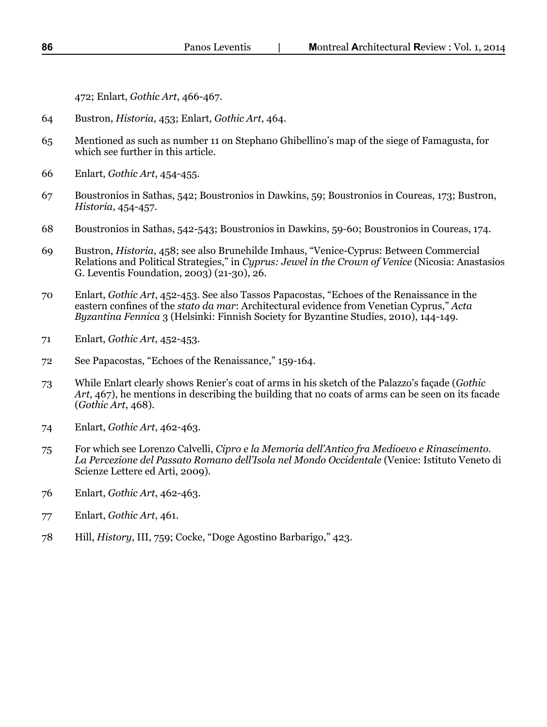472; Enlart, *Gothic Art*, 466-467.

- 64 Bustron, *Historia*, 453; Enlart, *Gothic Art*, 464.
- 65 Mentioned as such as number 11 on Stephano Ghibellino's map of the siege of Famagusta, for which see further in this article.
- 66 Enlart, *Gothic Art*, 454-455.
- 67 Boustronios in Sathas, 542; Boustronios in Dawkins, 59; Boustronios in Coureas, 173; Bustron, *Historia*, 454-457.
- 68 Boustronios in Sathas, 542-543; Boustronios in Dawkins, 59-60; Boustronios in Coureas, 174.
- 69 Bustron, *Historia*, 458; see also Brunehilde Imhaus, "Venice-Cyprus: Between Commercial Relations and Political Strategies," in *Cyprus: Jewel in the Crown of Venice* (Nicosia: Anastasios G. Leventis Foundation, 2003) (21-30), 26.
- 70 Enlart, *Gothic Art*, 452-453. See also Tassos Papacostas, "Echoes of the Renaissance in the eastern confines of the *stato da mar*: Architectural evidence from Venetian Cyprus," *Acta Byzantina Fennica* 3 (Helsinki: Finnish Society for Byzantine Studies, 2010), 144-149.
- 71 Enlart, *Gothic Art*, 452-453.
- 72 See Papacostas, "Echoes of the Renaissance," 159-164.
- 73 While Enlart clearly shows Renier's coat of arms in his sketch of the Palazzo's façade (*Gothic Art*, 467), he mentions in describing the building that no coats of arms can be seen on its facade (*Gothic Art*, 468).
- 74 Enlart, *Gothic Art*, 462-463.
- 75 For which see Lorenzo Calvelli, *Cipro e la Memoria dell'Antico fra Medioevo e Rinascimento. La Percezione del Passato Romano dell'Isola nel Mondo Occidentale* (Venice: Istituto Veneto di Scienze Lettere ed Arti, 2009).
- 76 Enlart, *Gothic Art*, 462-463.
- 77 Enlart, *Gothic Art*, 461.
- 78 Hill, *History*, III, 759; Cocke, "Doge Agostino Barbarigo," 423.